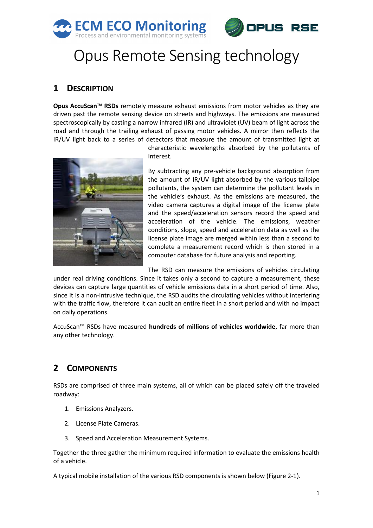



# Opus Remote Sensing technology

## **1 DESCRIPTION**

**Opus AccuScan™ RSDs** remotely measure exhaust emissions from motor vehicles as they are driven past the remote sensing device on streets and highways. The emissions are measured spectroscopically by casting a narrow infrared (IR) and ultraviolet (UV) beam of light across the road and through the trailing exhaust of passing motor vehicles. A mirror then reflects the IR/UV light back to a series of detectors that measure the amount of transmitted light at



characteristic wavelengths absorbed by the pollutants of interest.

By subtracting any pre-vehicle background absorption from the amount of IR/UV light absorbed by the various tailpipe pollutants, the system can determine the pollutant levels in the vehicle's exhaust. As the emissions are measured, the video camera captures a digital image of the license plate and the speed/acceleration sensors record the speed and acceleration of the vehicle. The emissions, weather conditions, slope, speed and acceleration data as well as the license plate image are merged within less than a second to complete a measurement record which is then stored in a computer database for future analysis and reporting.

The RSD can measure the emissions of vehicles circulating

under real driving conditions. Since it takes only a second to capture a measurement, these devices can capture large quantities of vehicle emissions data in a short period of time. Also, since it is a non-intrusive technique, the RSD audits the circulating vehicles without interfering with the traffic flow, therefore it can audit an entire fleet in a short period and with no impact on daily operations.

AccuScan™ RSDs have measured **hundreds of millions of vehicles worldwide**, far more than any other technology.

## **2 COMPONENTS**

RSDs are comprised of three main systems, all of which can be placed safely off the traveled roadway:

- 1. Emissions Analyzers.
- 2. License Plate Cameras.
- 3. Speed and Acceleration Measurement Systems.

Together the three gather the minimum required information to evaluate the emissions health of a vehicle.

A typical mobile installation of the various RSD components is shown below [\(Figure 2-1\)](#page-1-0).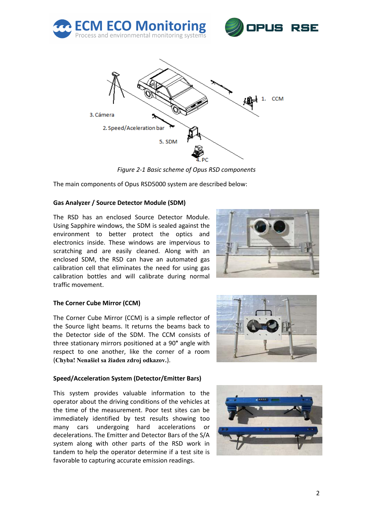



*Figure 2-1 Basic scheme of Opus RSD components*

<span id="page-1-0"></span>The main components of Opus RSD5000 system are described below:

#### **Gas Analyzer / Source Detector Module (SDM)**

The RSD has an enclosed Source Detector Module. Using Sapphire windows, the SDM is sealed against the environment to better protect the optics and electronics inside. These windows are impervious to scratching and are easily cleaned. Along with an enclosed SDM, the RSD can have an automated gas calibration cell that eliminates the need for using gas calibration bottles and will calibrate during normal traffic movement.



#### **The Corner Cube Mirror (CCM)**

The Corner Cube Mirror (CCM) is a simple reflector of the Source light beams. It returns the beams back to the Detector side of the SDM. The CCM consists of three stationary mirrors positioned at a 90**°** angle with respect to one another, like the corner of a room (**Chyba! Nenašiel sa žiaden zdroj odkazov.**).



#### **Speed/Acceleration System (Detector/Emitter Bars)**

This system provides valuable information to the operator about the driving conditions of the vehicles at the time of the measurement. Poor test sites can be immediately identified by test results showing too many cars undergoing hard accelerations or decelerations. The Emitter and Detector Bars of the S/A system along with other parts of the RSD work in tandem to help the operator determine if a test site is favorable to capturing accurate emission readings.

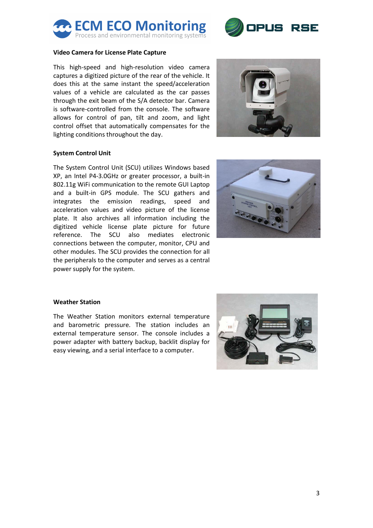



#### **Video Camera for License Plate Capture**

This high-speed and high-resolution video camera captures a digitized picture of the rear of the vehicle. It does this at the same instant the speed/acceleration values of a vehicle are calculated as the car passes through the exit beam of the S/A detector bar. Camera is software-controlled from the console. The software allows for control of pan, tilt and zoom, and light control offset that automatically compensates for the lighting conditions throughout the day.



#### **System Control Unit**

The System Control Unit (SCU) utilizes Windows based XP, an Intel P4-3.0GHz or greater processor, a built-in 802.11g WiFi communication to the remote GUI Laptop and a built-in GPS module. The SCU gathers and integrates the emission readings, speed and acceleration values and video picture of the license plate. It also archives all information including the digitized vehicle license plate picture for future reference. The SCU also mediates electronic connections between the computer, monitor, CPU and other modules. The SCU provides the connection for all the peripherals to the computer and serves as a central power supply for the system.



#### **Weather Station**

The Weather Station monitors external temperature and barometric pressure. The station includes an external temperature sensor. The console includes a power adapter with battery backup, backlit display for easy viewing, and a serial interface to a computer.

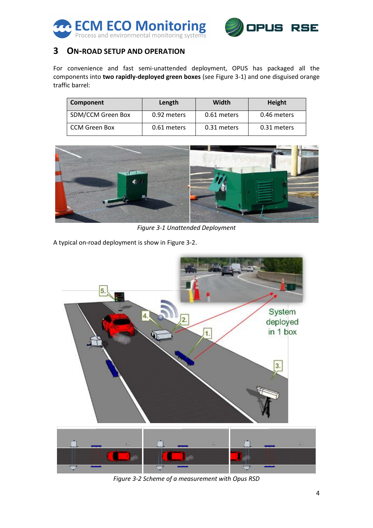



## **3 ON-ROAD SETUP AND OPERATION**

For convenience and fast semi-unattended deployment, OPUS has packaged all the components into **two rapidly-deployed green boxes** (se[e Figure 3-1\)](#page-3-0) and one disguised orange traffic barrel:

| Component         | Length      | Width       | <b>Height</b> |
|-------------------|-------------|-------------|---------------|
| SDM/CCM Green Box | 0.92 meters | 0.61 meters | 0.46 meters   |
| CCM Green Box     | 0.61 meters | 0.31 meters | 0.31 meters   |



*Figure 3-1 Unattended Deployment*

<span id="page-3-0"></span>A typical on-road deployment is show in [Figure 3-2.](#page-3-1)

<span id="page-3-1"></span>

*Figure 3-2 Scheme of a measurement with Opus RSD*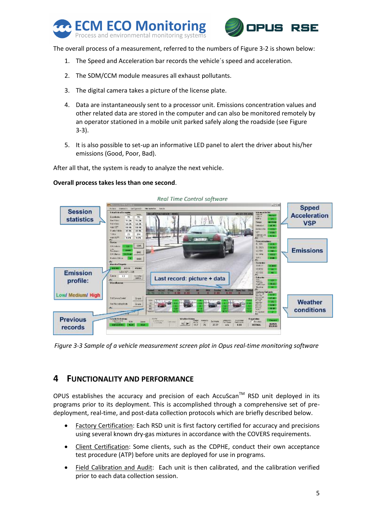



The overall process of a measurement, referred to the numbers of [Figure 3-2](#page-3-1) is shown below:

- 1. The Speed and Acceleration bar records the vehicle´s speed and acceleration.
- 2. The SDM/CCM module measures all exhaust pollutants.
- 3. The digital camera takes a picture of the license plate.
- 4. Data are instantaneously sent to a processor unit. Emissions concentration values and other related data are stored in the computer and can also be monitored remotely by an operator stationed in a mobile unit parked safely along the roadside (se[e Figure](#page-4-0)  [3-3\)](#page-4-0).
- 5. It is also possible to set-up an informative LED panel to alert the driver about his/her emissions (Good, Poor, Bad).

After all that, the system is ready to analyze the next vehicle.

#### **Overall process takes less than one second**.



<span id="page-4-0"></span>*Figure 3-3 Sample of a vehicle measurement screen plot in Opus real-time monitoring software*

### **4 FUNCTIONALITY AND PERFORMANCE**

OPUS establishes the accuracy and precision of each AccuScan<sup>TM</sup> RSD unit deployed in its programs prior to its deployment. This is accomplished through a comprehensive set of predeployment, real-time, and post-data collection protocols which are briefly described below.

- Factory Certification: Each RSD unit is first factory certified for accuracy and precisions using several known dry-gas mixtures in accordance with the COVERS requirements.
- Client Certification: Some clients, such as the CDPHE, conduct their own acceptance test procedure (ATP) before units are deployed for use in programs.
- Field Calibration and Audit: Each unit is then calibrated, and the calibration verified prior to each data collection session.